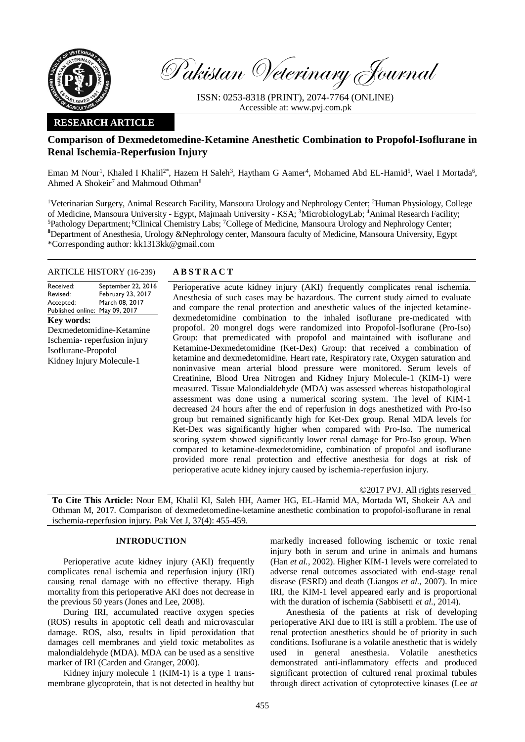

Pakistan Veterinary Journal

ISSN: 0253-8318 (PRINT), 2074-7764 (ONLINE) Accessible at: [www.pvj.com.pk](http://www.pvj.com.pk/)

# **RESEARCH ARTICLE**

# **Comparison of Dexmedetomedine-Ketamine Anesthetic Combination to Propofol-Isoflurane in Renal Ischemia-Reperfusion Injury**

Eman M Nour<sup>1</sup>, Khaled I Khalil<sup>2\*</sup>, Hazem H Saleh<sup>3</sup>, Haytham G Aamer<sup>4</sup>, Mohamed Abd EL-Hamid<sup>5</sup>, Wael I Mortada<sup>6</sup>, Ahmed A Shokeir<sup>7</sup> and Mahmoud Othman<sup>8</sup>

<sup>1</sup>Veterinarian Surgery, Animal Research Facility, Mansoura Urology and Nephrology Center; <sup>2</sup>Human Physiology, College of Medicine, Mansoura University - Egypt, Majmaah University - KSA; <sup>3</sup>MicrobiologyLab; <sup>4</sup>Animal Research Facility; <sup>5</sup>Pathology Department; <sup>6</sup>Clinical Chemistry Labs; <sup>7</sup>College of Medicine, Mansoura Urology and Nephrology Center; **<sup>8</sup>**Department of Anesthesia, Urology &Nephrology center, Mansoura faculty of Medicine, Mansoura University, Egypt \*Corresponding author: kk1313kk@gmail.com

### ARTICLE HISTORY (16-239) **A B S T R A C T**

Received: Revised: Accepted: Published online: May 09, 2017 September 22, 2016 February 23, 2017 March 08, 2017 **Key words:**  Dexmedetomidine-Ketamine Ischemia- reperfusion injury Isoflurane-Propofol Kidney Injury Molecule-1

Perioperative acute kidney injury (AKI) frequently complicates renal ischemia. Anesthesia of such cases may be hazardous. The current study aimed to evaluate and compare the renal protection and anesthetic values of the injected ketaminedexmedetomidine combination to the inhaled isoflurane pre-medicated with propofol. 20 mongrel dogs were randomized into Propofol-Isoflurane (Pro-Iso) Group: that premedicated with propofol and maintained with isoflurane and Ketamine-Dexmedetomidine (Ket-Dex) Group: that received a combination of ketamine and dexmedetomidine. Heart rate, Respiratory rate, Oxygen saturation and noninvasive mean arterial blood pressure were monitored. Serum levels of Creatinine, Blood Urea Nitrogen and Kidney Injury Molecule-1 (KIM-1) were measured. Tissue Malondialdehyde (MDA) was assessed whereas histopathological assessment was done using a numerical scoring system. The level of KIM-1 decreased 24 hours after the end of reperfusion in dogs anesthetized with Pro-Iso group but remained significantly high for Ket-Dex group. Renal MDA levels for Ket-Dex was significantly higher when compared with Pro-Iso. The numerical scoring system showed significantly lower renal damage for Pro-Iso group. When compared to ketamine-dexmedetomidine, combination of propofol and isoflurane provided more renal protection and effective anesthesia for dogs at risk of perioperative acute kidney injury caused by ischemia-reperfusion injury.

©2017 PVJ. All rights reserved

**To Cite This Article:** Nour EM, Khalil KI, Saleh HH, Aamer HG, EL-Hamid MA, Mortada WI, Shokeir AA and Othman M, 2017. Comparison of dexmedetomedine-ketamine anesthetic combination to propofol-isoflurane in renal ischemia-reperfusion injury. Pak Vet J, 37(4): 455-459.

## **INTRODUCTION**

Perioperative acute kidney injury (AKI) frequently complicates renal ischemia and reperfusion injury (IRI) causing renal damage with no effective therapy. High mortality from this perioperative AKI does not decrease in the previous 50 years (Jones and Lee, 2008).

During IRI, accumulated reactive oxygen species (ROS) results in apoptotic cell death and microvascular damage. ROS, also, results in lipid peroxidation that damages cell membranes and yield toxic metabolites as malondialdehyde (MDA). MDA can be used as a sensitive marker of IRI (Carden and Granger, 2000).

Kidney injury molecule 1 (KIM-1) is a type 1 transmembrane glycoprotein, that is not detected in healthy but

markedly increased following ischemic or toxic renal injury both in serum and urine in animals and humans (Han *et al.*, 2002). Higher KIM-1 levels were correlated to adverse renal outcomes associated with end-stage renal disease (ESRD) and death (Liangos *et al.*, 2007). In mice IRI, the KIM-1 level appeared early and is proportional with the duration of ischemia (Sabbisetti *et al.*, 2014).

Anesthesia of the patients at risk of developing perioperative AKI due to IRI is still a problem. The use of renal protection anesthetics should be of priority in such conditions. Isoflurane is a volatile anesthetic that is widely used in general anesthesia. Volatile anesthetics demonstrated anti-inflammatory effects and produced significant protection of cultured renal proximal tubules through direct activation of cytoprotective kinases (Lee *at*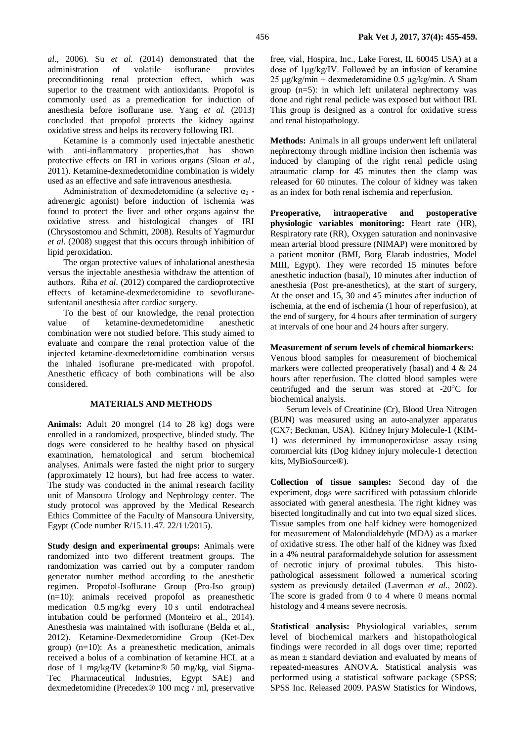Ketamine is a commonly used injectable anesthetic with anti-inflammatory properties,that has shown protective effects on IRI in various organs (Sloan *et al.*, 2011). Ketamine-dexmedetomidine combination is widely used as an effective and safe intravenous anesthesia.

Administration of dexmedetomidine (a selective  $\alpha_2$  adrenergic agonist) before induction of ischemia was found to protect the liver and other organs against the oxidative stress and histological changes of IRI (Chrysostomou and [Schmitt, 2008\).](http://www.ncbi.nlm.nih.gov/pubmed/?term=Schmitt%20CG%5BAuthor%5D&cauthor=true&cauthor_uid=18484919) Results of Yagmurdur *et al*. (2008) suggest that this occurs through inhibition of lipid peroxidation.

The organ protective values of inhalational anesthesia versus the injectable anesthesia withdraw the attention of authors. Řiha *et al*. (2012) compared the cardioprotective effects of ketamine-dexmedetomidine to sevofluranesufentanil anesthesia after cardiac surgery.

To the best of our knowledge, the renal protection value of ketamine-dexmedetomidine anesthetic combination were not studied before. This study aimed to evaluate and compare the renal protection value of the injected ketamine-dexmedetomidine combination versus the inhaled isoflurane pre-medicated with propofol. Anesthetic efficacy of both combinations will be also considered.

#### **MATERIALS AND METHODS**

**Animals:** Adult 20 mongrel (14 to 28 kg) dogs were enrolled in a randomized, prospective, blinded study. The dogs were considered to be healthy based on physical examination, hematological and serum biochemical analyses. Animals were fasted the night prior to surgery (approximately 12 hours), but had free access to water. The study was conducted in the animal research facility unit of Mansoura Urology and Nephrology center. The study protocol was approved by the Medical Research Ethics Committee of the Faculty of Mansoura University, Egypt (Code number R/15.11.47. 22/11/2015).

**Study design and experimental groups:** Animals were randomized into two different treatment groups. The randomization was carried out by a computer random generator number method according to the anesthetic regimen. Propofol-Isoflurane Group (Pro-Iso group) (n=10): animals received propofol as preanesthetic medication 0.5 mg/kg every 10 s until endotracheal intubation could be performed (Monteiro et al., 2014). Anesthesia was maintained with isoflurane (Belda et al., 2012). Ketamine-Dexmedetomidine Group (Ket-Dex group) (n=10): As a preanesthetic medication, animals received a bolus of a combination of ketamine HCL at a dose of 1 mg/kg/IV (ketamine® 50 mg/kg, vial Sigma-Tec Pharmaceutical Industries, Egypt SAE) and dexmedetomidine (Precedex® 100 mcg / ml, preservative

free, vial, Hospira, Inc., Lake Forest, IL 60045 USA) at a dose of 1μg/kg/IV. Followed by an infusion of ketamine 25 μg/kg/min + dexmedetomidine  $0.5$  μg/kg/min. A Sham group (n=5): in which left unilateral nephrectomy was done and right renal pedicle was exposed but without IRI. This group is designed as a control for oxidative stress and renal histopathology.

**Methods:** Animals in all groups underwent left unilateral nephrectomy through midline incision then ischemia was induced by clamping of the right renal pedicle using atraumatic clamp for 45 minutes then the clamp was released for 60 minutes. The colour of kidney was taken as an index for both renal ischemia and reperfusion.

**Preoperative, intraoperative and postoperative physiologic variables monitoring:** Heart rate (HR), Respiratory rate (RR), Oxygen saturation and noninvasive mean arterial blood pressure (NIMAP) were monitored by a patient monitor (BMI, Borg Elarab industries, Model MIII, Egypt). They were recorded 15 minutes before anesthetic induction (basal), 10 minutes after induction of anesthesia (Post pre-anesthetics), at the start of surgery, At the onset and 15, 30 and 45 minutes after induction of ischemia, at the end of ischemia (1 hour of reperfusion), at the end of surgery, for 4 hours after termination of surgery at intervals of one hour and 24 hours after surgery.

#### **Measurement of serum levels of chemical biomarkers:**

Venous blood samples for measurement of biochemical markers were collected preoperatively (basal) and 4 & 24 hours after reperfusion. The clotted blood samples were centrifuged and the serum was stored at -20○C for biochemical analysis.

Serum levels of Creatinine (Cr), Blood Urea Nitrogen (BUN) was measured using an auto-analyzer apparatus (CX7; Beckman, USA). Kidney Injury Molecule-1 (KIM-1) was determined by immunoperoxidase assay using commercial kits (Dog kidney injury molecule-1 detection kits, MyBioSource®).

**Collection of tissue samples:** Second day of the experiment, dogs were sacrificed with potassium chloride associated with general anesthesia. The right kidney was bisected longitudinally and cut into two equal sized slices. Tissue samples from one half kidney were homogenized for measurement of Malondialdehyde (MDA) as a marker of oxidative stress. The other half of the kidney was fixed in a 4% neutral paraformaldehyde solution for assessment of necrotic injury of proximal tubules. This histopathological assessment followed a numerical scoring system as previously detailed (Laverman *et al.*, 2002). The score is graded from 0 to 4 where 0 means normal histology and 4 means severe necrosis.

**Statistical analysis:** Physiological variables, serum level of biochemical markers and histopathological findings were recorded in all dogs over time; reported as mean  $\pm$  standard deviation and evaluated by means of repeated-measures ANOVA. Statistical analysis was performed using a statistical software package (SPSS; SPSS Inc. Released 2009. PASW Statistics for Windows,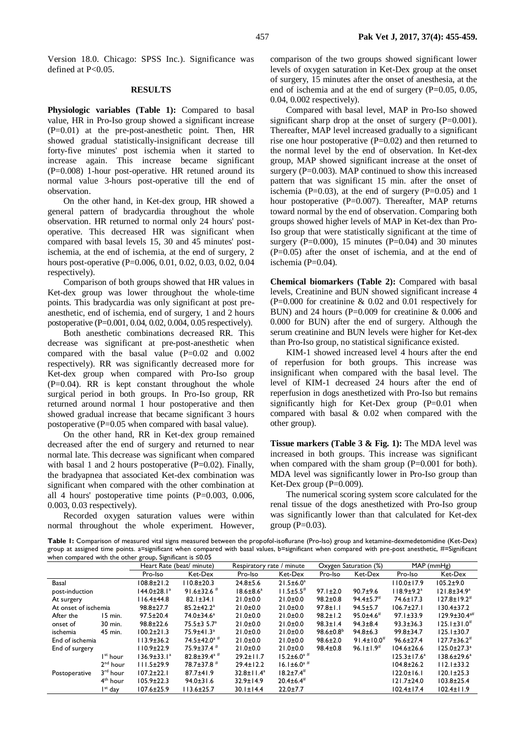Version 18.0. Chicago: SPSS Inc.). Significance was defined at P<0.05.

#### **RESULTS**

**Physiologic variables (Table 1):** Compared to basal value, HR in Pro-Iso group showed a significant increase (P=0.01) at the pre-post-anesthetic point. Then, HR showed gradual statistically-insignificant decrease till forty-five minutes' post ischemia when it started to increase again. This increase became significant  $(P=0.008)$  1-hour post-operative. HR retuned around its normal value 3-hours post-operative till the end of observation.

On the other hand, in Ket-dex group, HR showed a general pattern of bradycardia throughout the whole observation. HR returned to normal only 24 hours' postoperative. This decreased HR was significant when compared with basal levels 15, 30 and 45 minutes' postischemia, at the end of ischemia, at the end of surgery, 2 hours post-operative (P=0.006, 0.01, 0.02, 0.03, 0.02, 0.04 respectively).

Comparison of both groups showed that HR values in Ket-dex group was lower throughout the whole-time points. This bradycardia was only significant at post preanesthetic, end of ischemia, end of surgery, 1 and 2 hours postoperative (P=0.001, 0.04, 0.02, 0.004, 0.05 respectively).

Both anesthetic combinations decreased RR. This decrease was significant at pre-post-anesthetic when compared with the basal value (P=0.02 and 0.002 respectively). RR was significantly decreased more for Ket-dex group when compared with Pro-Iso group  $(P=0.04)$ . RR is kept constant throughout the whole surgical period in both groups. In Pro-Iso group, RR returned around normal 1 hour postoperative and then showed gradual increase that became significant 3 hours postoperative (P=0.05 when compared with basal value).

On the other hand, RR in Ket-dex group remained decreased after the end of surgery and returned to near normal late. This decrease was significant when compared with basal 1 and 2 hours postoperative  $(P=0.02)$ . Finally, the bradyapnea that associated Ket-dex combination was significant when compared with the other combination at all 4 hours' postoperative time points (P=0.003, 0.006, 0.003, 0.03 respectively).

Recorded oxygen saturation values were within normal throughout the whole experiment. However,

comparison of the two groups showed significant lower levels of oxygen saturation in Ket-Dex group at the onset of surgery, 15 minutes after the onset of anesthesia, at the end of ischemia and at the end of surgery (P=0.05, 0.05, 0.04, 0.002 respectively).

Compared with basal level, MAP in Pro-Iso showed significant sharp drop at the onset of surgery  $(P=0.001)$ . Thereafter, MAP level increased gradually to a significant rise one hour postoperative  $(P=0.02)$  and then returned to the normal level by the end of observation. In Ket-dex group, MAP showed significant increase at the onset of surgery ( $P=0.003$ ). MAP continued to show this increased pattern that was significant 15 min. after the onset of ischemia ( $P=0.03$ ), at the end of surgery ( $P=0.05$ ) and 1 hour postoperative (P=0.007). Thereafter, MAP returns toward normal by the end of observation. Comparing both groups showed higher levels of MAP in Ket-dex than Pro-Iso group that were statistically significant at the time of surgery ( $P=0.000$ ), 15 minutes ( $P=0.04$ ) and 30 minutes  $(P=0.05)$  after the onset of ischemia, and at the end of ischemia (P=0.04).

**Chemical biomarkers (Table 2):** Compared with basal levels, Creatinine and BUN showed significant increase 4 (P=0.000 for creatinine & 0.02 and 0.01 respectively for BUN) and 24 hours (P=0.009 for creatinine & 0.006 and 0.000 for BUN) after the end of surgery. Although the serum creatinine and BUN levels were higher for Ket-dex than Pro-Iso group, no statistical significance existed.

KIM-1 showed increased level 4 hours after the end of reperfusion for both groups. This increase was insignificant when compared with the basal level. The level of KIM-1 decreased 24 hours after the end of reperfusion in dogs anesthetized with Pro-Iso but remains significantly high for Ket-Dex group (P=0.01 when compared with basal & 0.02 when compared with the other group).

**Tissue markers (Table 3 & Fig. 1):** The MDA level was increased in both groups. This increase was significant when compared with the sham group  $(P=0.001$  for both). MDA level was significantly lower in Pro-Iso group than Ket-Dex group  $(P=0.009)$ .

The numerical scoring system score calculated for the renal tissue of the dogs anesthetized with Pro-Iso group was significantly lower than that calculated for Ket-dex group  $(P=0.03)$ .

Table 1: Comparison of measured vital signs measured between the propofol-isoflurane (Pro-Iso) group and ketamine-dexmedetomidine (Ket-Dex) group at assigned time points. a=significant when compared with basal values, b=significant when compared with pre-post anesthetic, #=Significant when compared with the other group, Significant is ≤0.05

|                      |                      | Heart Rate (beat/ minute) |                              | Respiratory rate / minute |                             | Oxygen Saturation (%)  |                              | MAP (mmHg)         |                                |
|----------------------|----------------------|---------------------------|------------------------------|---------------------------|-----------------------------|------------------------|------------------------------|--------------------|--------------------------------|
|                      |                      | Pro-Iso                   | Ket-Dex                      | Pro-Iso                   | Ket-Dex                     | Pro-Iso                | Ket-Dex                      | Pro-Iso            | Ket-Dex                        |
| Basal                |                      | $108.8 \pm 21.2$          | $110.8 \pm 20.3$             | $24.8 \pm 5.6$            | $21.5 \pm 6.0^a$            |                        |                              | $110.0 \pm 17.9$   | $105.2 \pm 9.0$                |
| post-induction       |                      | 144.0±28.1ª               | $91.6 \pm 32.6$ #            | $18.6 \pm 8.6^a$          | $11.5 \pm 5.5$ <sup>#</sup> | $97.1 \pm 2.0$         | $90.7 + 9.6$                 | $118.9 \pm 9.2^a$  | $121.8 \pm 34.9^a$             |
| At surgery           |                      | $16.4 \pm 44.8$           | $82.1 \pm 34.1$              | $21.0 + 0.0$              | $21.0 \pm 0.0$              | $98.2 \pm 0.8$         | $94.4 \pm 5.7$               | 74.6±17.3          | $127.8 \pm 19.2^{\#}$          |
| At onset of ischemia |                      | $98.8 \pm 27.7$           | $85.2 \pm 42.2$ <sup>a</sup> | $21.0 \pm 0.0$            | $21.0 \pm 0.0$              | $97.8 \pm 1.1$         | $94.5 \pm 5.7$               | $106.7 \pm 27.1$   | $130.4 \pm 37.2$               |
| After the            | 15 min.              | $97.5 \pm 20.4$           | 74.0±34.6 <sup>a</sup>       | $21.0 \pm 0.0$            | $21.0 \pm 0.0$              | $98.2 \pm 1.2$         | $95.0 \pm 4.6$ <sup>#</sup>  | $97.1 \pm 33.9$    | $129.9 \pm 30.4$ <sup>a#</sup> |
| onset of             | 30 min.              | $98.8 \pm 22.6$           | $75.5 \pm 3.5.7^a$           | $21.0 \pm 0.0$            | $21.0 \pm 0.0$              | $98.3 \pm 1.4$         | $94.3 \pm 8.4$               | $93.3 \pm 36.3$    | $125.1 \pm 31.0^{\#}$          |
| ischemia             | 45 min.              | $100.2 \pm 21.3$          | $75.9 \pm 41.3$ <sup>a</sup> | $21.0 \pm 0.0$            | $21.0 \pm 0.0$              | $98.6 \pm 0.8^{\circ}$ | $94.8 \pm 6.3$               | $99.8 \pm 34.7$    | $125.1 \pm 30.7$               |
| End of ischemia      |                      | $113.9 \pm 36.2$          | $74.5 \pm 42.0^{\text{a H}}$ | $21.0 \pm 0.0$            | $21.0 \pm 0.0$              | $98.6 \pm 2.0$         | $91.4 \pm 10.0$ <sup>#</sup> | $96.6 \pm 27.4$    | $127.7 \pm 36.2^{\#}$          |
| End of surgery       |                      | $10.9 \pm 22.9$           | $75.9 \pm 37.4$ <sup>#</sup> | $21.0 \pm 0.0$            | $21.0 \pm 0.0$              | $98.4 \pm 0.8$         | $96.1 \pm 1.9$ <sup>#</sup>  | $104.6 \pm 26.6$   | $125.0 \pm 27.3^a$             |
|                      | I <sup>st</sup> hour | $136.9 \pm 33.1^a$        | 82.8±39.4 <sup>a#</sup>      | $29.2 \pm 11.7$           | $15.2 \pm 6.0^{\text{a}}$ # |                        |                              | $125.3 \pm 17.6^a$ | 138.6±29.6 <sup>a</sup>        |
|                      | 2 <sup>nd</sup> hour | $111.5 \pm 29.9$          | $78.7 \pm 37.8$ <sup>#</sup> | $29.4 \pm 12.2$           | $16.1 \pm 6.0^{\circ}$ #    |                        |                              | $104.8 \pm 26.2$   | $112.1 \pm 33.2$               |
| Postoperative        | $3rd$ hour           | $107.2 \pm 22.1$          | $87.7 \pm 41.9$              | $32.8 \pm 11.4^a$         | $18.2 \pm 7.4$ <sup>#</sup> |                        |                              | $122.0 \pm 16.1$   | $120.1 \pm 25.3$               |
|                      | $4th$ hour           | $105.9 \pm 22.3$          | $94.0 \pm 31.6$              | $32.9 \pm 14.9$           | $20.4 \pm 6.4$ <sup>#</sup> |                        |                              | $121.7 \pm 24.0$   | $103.8 \pm 25.4$               |
|                      | I <sup>st</sup> day  | $107.6 \pm 25.9$          | $113.6 \pm 25.7$             | $30.1 \pm 14.4$           | $22.0 \pm 7.7$              |                        |                              | $102.4 \pm 17.4$   | $102.4 \pm 11.9$               |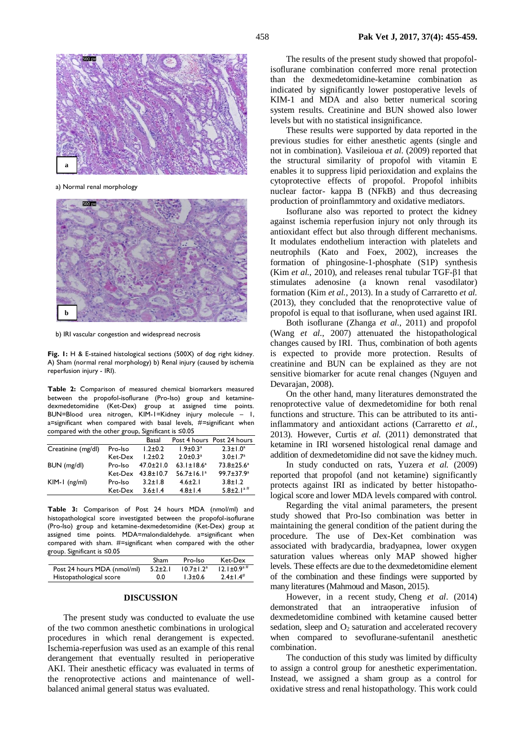

a) Normal renal morphology



b) IRI vascular congestion and widespread necrosis

**Fig. 1:** H & E-stained histological sections (500X) of dog right kidney. A) Sham (normal renal morphology) b) Renal injury (caused by ischemia reperfusion injury - IRI).

**Table 2:** Comparison of measured chemical biomarkers measured between the propofol-isoflurane (Pro-Iso) group and ketaminedexmedetomidine (Ket-Dex) group at assigned time points. BUN=Blood urea nitrogen, KIM-1=Kidney injury molecule – 1, a=significant when compared with basal levels, #=significant when compared with the other group, Significant is ≤0.05

|         | Basal           |                              | Post 4 hours Post 24 hours  |
|---------|-----------------|------------------------------|-----------------------------|
| Pro-Iso | $1.2 \pm 0.2$   | $1.9 \pm 0.3^a$              | $2.3 \pm 1.0^a$             |
| Ket-Dex | $1.2 + 0.2$     | $2.0 \pm 0.3$ <sup>a</sup>   | $3.0 \pm 1.7^a$             |
| Pro-Iso | $47.0 \pm 21.0$ | $63.1 \pm 18.6^a$            | $73.8 \pm 25.6^a$           |
|         |                 | $56.7 \pm 16.1$ <sup>a</sup> | $99.7 \pm 37.9^a$           |
| Pro-Iso | $3.2 \pm 1.8$   | $4.6 \pm 2.1$                | $3.8 \pm 1.2$               |
| Ket-Dex | $3.6 \pm 1.4$   | $4.8 \pm 1.4$                | $5.8 \pm 2.1$ <sup>a#</sup> |
|         |                 | Ket-Dex $43.8 \pm 10.7$      |                             |

**Table 3:** Comparison of Post 24 hours MDA (nmol/ml) and histopathological score investigated between the propofol-isoflurane (Pro-Iso) group and ketamine-dexmedetomidine (Ket-Dex) group at assigned time points. MDA=malondialdehyde. a=significant when compared with sham. #=significant when compared with the other group. Significant is ≤0.05

|                             | Sham          | Pro-Iso          | Ket-Dex                       |
|-----------------------------|---------------|------------------|-------------------------------|
| Post 24 hours MDA (nmol/ml) | $5.2 \pm 2.1$ | $10.7 \pm 1.2^a$ | $12.1 \pm 0.9^{\mathrm{a}}$ # |
| Histopathological score     | 0.0           | $1.3 \pm 0.6$    | $2.4 \pm 1.4$ <sup>#</sup>    |

#### **DISCUSSION**

The present study was conducted to evaluate the use of the two common anesthetic combinations in urological procedures in which renal derangement is expected. Ischemia-reperfusion was used as an example of this renal derangement that eventually resulted in perioperative AKI. Their anesthetic efficacy was evaluated in terms of the renoprotective actions and maintenance of wellbalanced animal general status was evaluated.

The results of the present study showed that propofolisoflurane combination conferred more renal protection than the dexmedetomidine-ketamine combination as indicated by significantly lower postoperative levels of KIM-1 and MDA and also better numerical scoring system results. Creatinine and BUN showed also lower levels but with no statistical insignificance.

These results were supported by data reported in the previous studies for either anesthetic agents (single and not in combination). Vasileio[ua](http://www.sciencedirect.com/science/article/pii/S0014299909000697#aff1) *et al*. (2009) reported that the structural similarity of propofol with vitamin E enables it to suppress lipid perioxidation and explains the cytoprotective effects of propofol. Propofol inhibits nuclear factor- kappa B (NFkB) and thus decreasing production of proinflammtory and oxidative mediators.

Isoflurane also was reported to protect the kidney against ischemia reperfusion injury not only through its antioxidant effect but also through different mechanisms. It modulates endothelium interaction with platelets and neutrophils (Kato and Foex, 2002), increases the formation of phingosine-1-phosphate (S1P) synthesis (Kim *et al.*, 2010), and releases renal tubular TGF-β1 that stimulates adenosine (a known renal vasodilator) formation (Kim *et al.*, 2013). In a study of Carraretto *et al.* (2013), they concluded that the renoprotective value of propofol is equal to that isoflurane, when used against IRI.

Both isoflurane (Zhan[ga](http://www.sciencedirect.com/science/article/pii/S0024320511001871#af0005) *et al.*, 2011) and propofol (Wang *et al.*, 2007) attenuated the histopathological changes caused by IRI. Thus, combination of both agents is expected to provide more protection. Results of creatinine and BUN can be explained as they are not sensitive biomarker for acute renal changes (Nguyen and Devarajan, 2008).

On the other hand, many literatures demonstrated the renoprotective value of dexmedetomidine for both renal functions and structure. This can be attributed to its antiinflammatory and antioxidant actions (Carraretto *et al.*, 2013). However, Curtis *et al.* (2011) demonstrated that ketamine in IRI worsened histological renal damage and addition of dexmedetomidine did not save the kidney much.

In study conducted on rats, Yuzera *et al.* (2009) reported that propofol (and not ketamine) significantly protects against IRI as indicated by better histopathological score and lower MDA levels compared with control.

Regarding the vital animal parameters, the present study showed that Pro-Iso combination was better in maintaining the general condition of the patient during the procedure. The use of Dex-Ket combination was associated with bradycardia, bradyapnea, lower oxygen saturation values whereas only MAP showed higher levels. These effects are due to the dexmedetomidine element of the combination and these findings were supported by many literatures (Mahmoud and Mason, 2015).

However, in a recent study, Cheng *et al*. (2014) demonstrated that an intraoperative infusion of dexmedetomidine combined with ketamine caused better sedation, sleep and  $O_2$  saturation and accelerated recovery when compared to sevoflurane-sufentanil anesthetic combination.

The conduction of this study was limited by difficulty to assign a control group for anesthetic experimentation. Instead, we assigned a sham group as a control for oxidative stress and renal histopathology. This work could